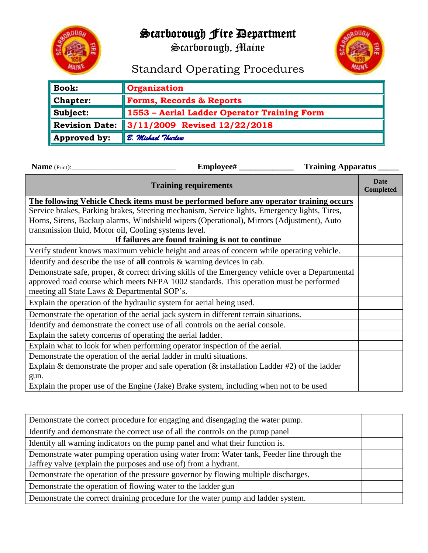

## Scarborough Fire Department

Scarborough, Maine



## Standard Operating Procedures

| <b>Book:</b>          | <b>Organization</b>                         |  |  |  |
|-----------------------|---------------------------------------------|--|--|--|
| Chapter:              | <b>Forms, Records &amp; Reports</b>         |  |  |  |
| Subject:              | 1553 - Aerial Ladder Operator Training Form |  |  |  |
| <b>Revision Date:</b> | $\parallel$ 3/11/2009 Revised 12/22/2018    |  |  |  |
| Approved by:          | B. Michael Thurlow                          |  |  |  |

| Training Apparatus _____                                                                         |                          |  |  |  |  |
|--------------------------------------------------------------------------------------------------|--------------------------|--|--|--|--|
| <b>Training requirements</b>                                                                     | Date<br><b>Completed</b> |  |  |  |  |
| The following Vehicle Check items must be performed before any operator training occurs          |                          |  |  |  |  |
| Service brakes, Parking brakes, Steering mechanism, Service lights, Emergency lights, Tires,     |                          |  |  |  |  |
| Horns, Sirens, Backup alarms, Windshield wipers (Operational), Mirrors (Adjustment), Auto        |                          |  |  |  |  |
| transmission fluid, Motor oil, Cooling systems level.                                            |                          |  |  |  |  |
| If failures are found training is not to continue                                                |                          |  |  |  |  |
| Verify student knows maximum vehicle height and areas of concern while operating vehicle.        |                          |  |  |  |  |
| Identify and describe the use of all controls $\&$ warning devices in cab.                       |                          |  |  |  |  |
| Demonstrate safe, proper, & correct driving skills of the Emergency vehicle over a Departmental  |                          |  |  |  |  |
| approved road course which meets NFPA 1002 standards. This operation must be performed           |                          |  |  |  |  |
| meeting all State Laws & Departmental SOP's.                                                     |                          |  |  |  |  |
| Explain the operation of the hydraulic system for aerial being used.                             |                          |  |  |  |  |
| Demonstrate the operation of the aerial jack system in different terrain situations.             |                          |  |  |  |  |
| Identify and demonstrate the correct use of all controls on the aerial console.                  |                          |  |  |  |  |
| Explain the safety concerns of operating the aerial ladder.                                      |                          |  |  |  |  |
| Explain what to look for when performing operator inspection of the aerial.                      |                          |  |  |  |  |
| Demonstrate the operation of the aerial ladder in multi situations.                              |                          |  |  |  |  |
| Explain & demonstrate the proper and safe operation ( $\&$ installation Ladder #2) of the ladder |                          |  |  |  |  |
| gun.                                                                                             |                          |  |  |  |  |
| Explain the proper use of the Engine (Jake) Brake system, including when not to be used          |                          |  |  |  |  |

| Demonstrate the correct procedure for engaging and disengaging the water pump.            |  |  |  |
|-------------------------------------------------------------------------------------------|--|--|--|
| Identify and demonstrate the correct use of all the controls on the pump panel            |  |  |  |
| Identify all warning indicators on the pump panel and what their function is.             |  |  |  |
| Demonstrate water pumping operation using water from: Water tank, Feeder line through the |  |  |  |
| Jaffrey valve (explain the purposes and use of) from a hydrant.                           |  |  |  |
| Demonstrate the operation of the pressure governor by flowing multiple discharges.        |  |  |  |
| Demonstrate the operation of flowing water to the ladder gun                              |  |  |  |
| Demonstrate the correct draining procedure for the water pump and ladder system.          |  |  |  |